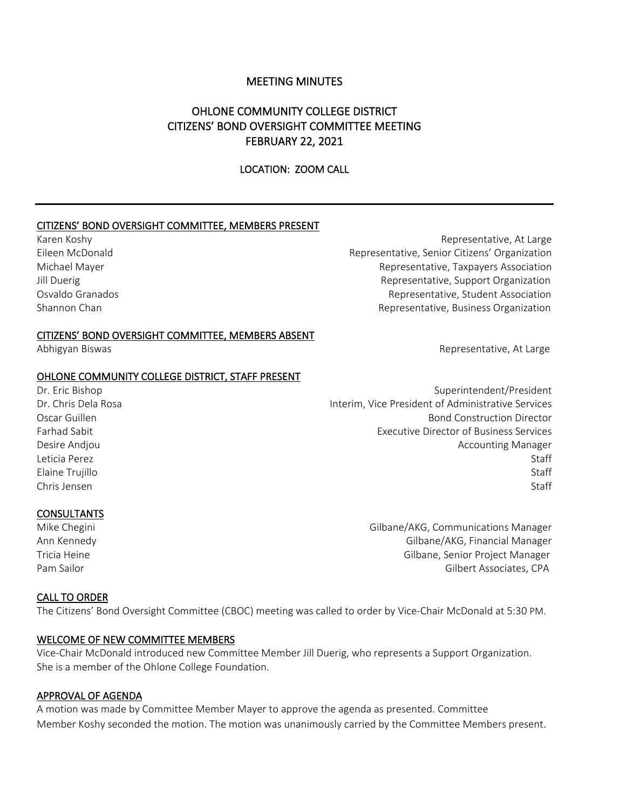## MEETING MINUTES

# OHLONE COMMUNITY COLLEGE DISTRICT CITIZENS' BOND OVERSIGHT COMMITTEE MEETING FEBRUARY 22, 2021

### LOCATION: ZOOM CALL

#### CITIZENS' BOND OVERSIGHT COMMITTEE, MEMBERS PRESENT

Karen Koshy **Representative, At Large** Eileen McDonald Representative, Senior Citizens' Organization Michael Mayer Representative, Taxpayers Association Jill Duerig **The Community Community** Representative, Support Organization Osvaldo Granados Representative, Student Association Shannon Chan Representative, Business Organization Representative, Business Organization

#### CITIZENS' BOND OVERSIGHT COMMITTEE, MEMBERS ABSENT

#### OHLONE COMMUNITY COLLEGE DISTRICT, STAFF PRESENT

Dr. Eric Bishop Superintendent/President Dr. Chris Dela Rosa Interim, Vice President of Administrative Services Oscar Guillen Bond Construction Director Farhad Sabit Executive Director of Business Services Desire Andjou **Accounting Manager** Desire Andjou Leticia Perez Staff Elaine Trujillo Staff Chris Jensen Staff

#### CONSULTANTS

Mike Chegini Gilbane/AKG, Communications Manager Ann Kennedy Gilbane/AKG, Financial Manager Tricia Heine Gilbane, Senior Project Manager Pam Sailor Gilbert Associates, CPA

#### CALL TO ORDER

The Citizens' Bond Oversight Committee (CBOC) meeting was called to order by Vice-Chair McDonald at 5:30 PM.

#### WELCOME OF NEW COMMITTEE MEMBERS

Vice-Chair McDonald introduced new Committee Member Jill Duerig, who represents a Support Organization. She is a member of the Ohlone College Foundation.

#### APPROVAL OF AGENDA

A motion was made by Committee Member Mayer to approve the agenda as presented. Committee Member Koshy seconded the motion. The motion was unanimously carried by the Committee Members present.

Abhigyan Biswas Representative, At Large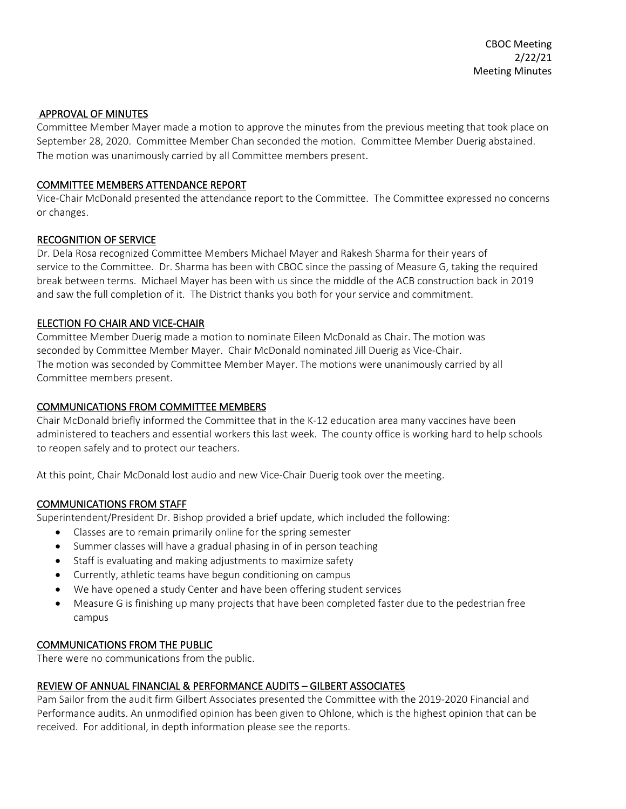### APPROVAL OF MINUTES

Committee Member Mayer made a motion to approve the minutes from the previous meeting that took place on September 28, 2020. Committee Member Chan seconded the motion. Committee Member Duerig abstained. The motion was unanimously carried by all Committee members present.

## COMMITTEE MEMBERS ATTENDANCE REPORT

Vice-Chair McDonald presented the attendance report to the Committee. The Committee expressed no concerns or changes.

## RECOGNITION OF SERVICE

Dr. Dela Rosa recognized Committee Members Michael Mayer and Rakesh Sharma for their years of service to the Committee. Dr. Sharma has been with CBOC since the passing of Measure G, taking the required break between terms. Michael Mayer has been with us since the middle of the ACB construction back in 2019 and saw the full completion of it. The District thanks you both for your service and commitment.

## ELECTION FO CHAIR AND VICE-CHAIR

Committee Member Duerig made a motion to nominate Eileen McDonald as Chair. The motion was seconded by Committee Member Mayer. Chair McDonald nominated Jill Duerig as Vice-Chair. The motion was seconded by Committee Member Mayer. The motions were unanimously carried by all Committee members present.

## COMMUNICATIONS FROM COMMITTEE MEMBERS

Chair McDonald briefly informed the Committee that in the K-12 education area many vaccines have been administered to teachers and essential workers this last week. The county office is working hard to help schools to reopen safely and to protect our teachers.

At this point, Chair McDonald lost audio and new Vice-Chair Duerig took over the meeting.

### COMMUNICATIONS FROM STAFF

Superintendent/President Dr. Bishop provided a brief update, which included the following:

- Classes are to remain primarily online for the spring semester
- Summer classes will have a gradual phasing in of in person teaching
- Staff is evaluating and making adjustments to maximize safety
- Currently, athletic teams have begun conditioning on campus
- We have opened a study Center and have been offering student services
- Measure G is finishing up many projects that have been completed faster due to the pedestrian free campus

# COMMUNICATIONS FROM THE PUBLIC

There were no communications from the public.

# REVIEW OF ANNUAL FINANCIAL & PERFORMANCE AUDITS – GILBERT ASSOCIATES

Pam Sailor from the audit firm Gilbert Associates presented the Committee with the 2019-2020 Financial and Performance audits. An unmodified opinion has been given to Ohlone, which is the highest opinion that can be received. For additional, in depth information please see the reports.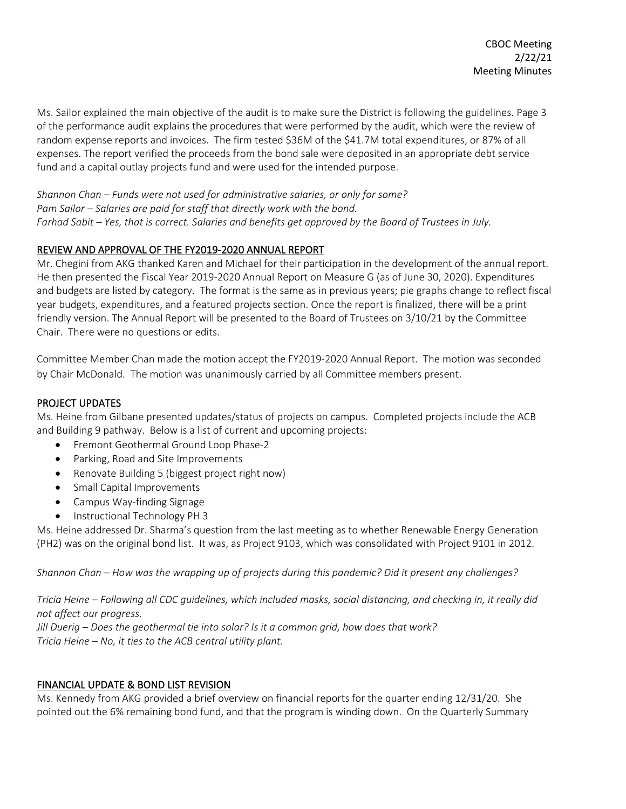Ms. Sailor explained the main objective of the audit is to make sure the District is following the guidelines. Page 3 of the performance audit explains the procedures that were performed by the audit, which were the review of random expense reports and invoices. The firm tested \$36M of the \$41.7M total expenditures, or 87% of all expenses. The report verified the proceeds from the bond sale were deposited in an appropriate debt service fund and a capital outlay projects fund and were used for the intended purpose.

*Shannon Chan – Funds were not used for administrative salaries, or only for some? Pam Sailor – Salaries are paid for staff that directly work with the bond. Farhad Sabit – Yes, that is correct. Salaries and benefits get approved by the Board of Trustees in July.* 

# REVIEW AND APPROVAL OF THE FY2019-2020 ANNUAL REPORT

Mr. Chegini from AKG thanked Karen and Michael for their participation in the development of the annual report. He then presented the Fiscal Year 2019-2020 Annual Report on Measure G (as of June 30, 2020). Expenditures and budgets are listed by category. The format is the same as in previous years; pie graphs change to reflect fiscal year budgets, expenditures, and a featured projects section. Once the report is finalized, there will be a print friendly version. The Annual Report will be presented to the Board of Trustees on 3/10/21 by the Committee Chair. There were no questions or edits.

Committee Member Chan made the motion accept the FY2019-2020 Annual Report. The motion was seconded by Chair McDonald. The motion was unanimously carried by all Committee members present.

## PROJECT UPDATES

Ms. Heine from Gilbane presented updates/status of projects on campus. Completed projects include the ACB and Building 9 pathway. Below is a list of current and upcoming projects:

- Fremont Geothermal Ground Loop Phase-2
- Parking, Road and Site Improvements
- Renovate Building 5 (biggest project right now)
- Small Capital Improvements
- Campus Way-finding Signage
- Instructional Technology PH 3

Ms. Heine addressed Dr. Sharma's question from the last meeting as to whether Renewable Energy Generation (PH2) was on the original bond list. It was, as Project 9103, which was consolidated with Project 9101 in 2012.

*Shannon Chan – How was the wrapping up of projects during this pandemic? Did it present any challenges?*

*Tricia Heine – Following all CDC guidelines, which included masks, social distancing, and checking in, it really did not affect our progress.* 

*Jill Duerig – Does the geothermal tie into solar? Is it a common grid, how does that work? Tricia Heine – No, it ties to the ACB central utility plant.*

# FINANCIAL UPDATE & BOND LIST REVISION

Ms. Kennedy from AKG provided a brief overview on financial reports for the quarter ending 12/31/20. She pointed out the 6% remaining bond fund, and that the program is winding down. On the Quarterly Summary